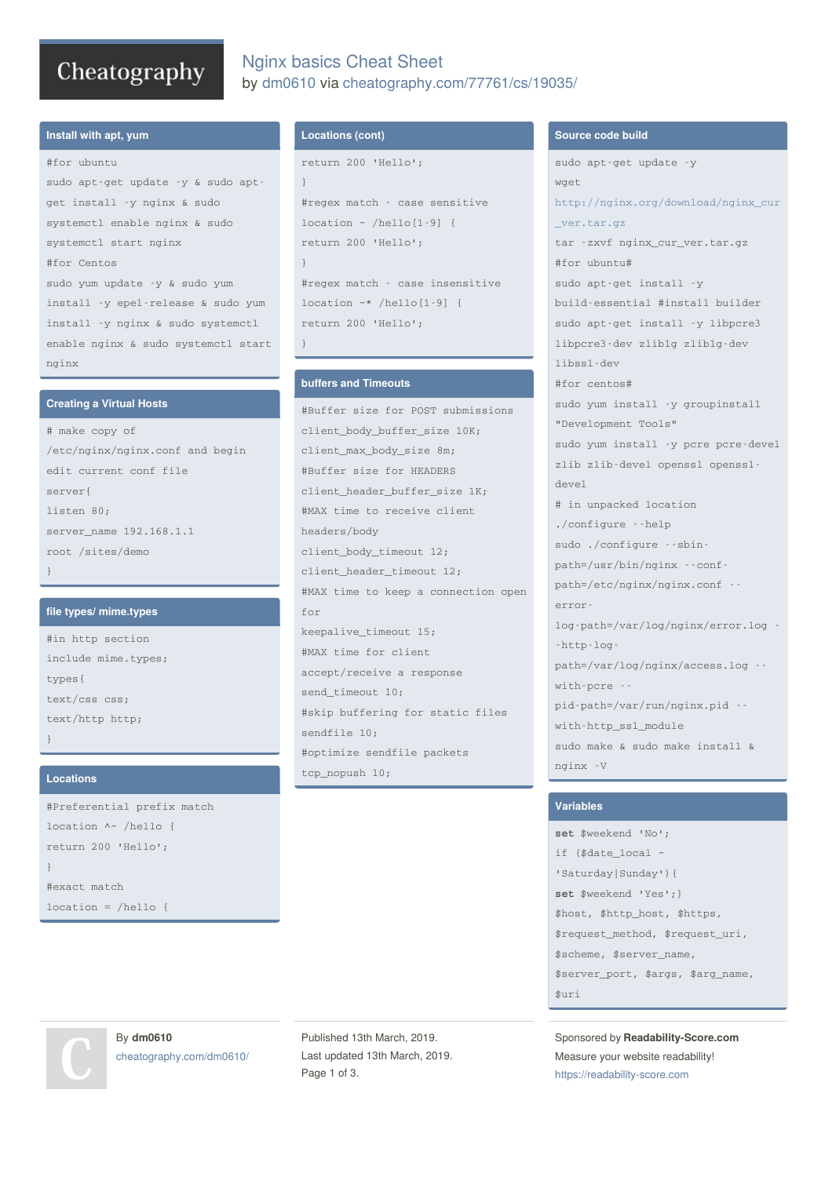# Cheatography

## Nginx basics Cheat Sheet by [dm0610](http://www.cheatography.com/dm0610/) via [cheatography.com/77761/cs/19035/](http://www.cheatography.com/dm0610/cheat-sheets/nginx-basics)

#### **Install with apt, yum**

#for ubuntu

sudo apt-get update -y & sudo aptget install -y nginx & sudo systemctl enable nginx & sudo systemctl start nginx #for Centos sudo yum update -y & sudo yum install -y epel-release & sudo yum install -y nginx & sudo systemctl enable nginx & sudo systemctl start nginx

#### **Creating a Virtual Hosts**

# make copy of /etc/nginx/nginx.conf and begin edit current conf file server{ listen 80; server\_name 192.168.1.1 root /sites/demo }

#### **file types/ mime.types**

#in http section include mime.types; types{ text/css css; text/http http; }

#### **Locations**

#Preferential prefix match location ^~ /hello { return 200 'Hello'; } #exact match location = /hello {

#### **Locations (cont)**

```
return 200 'Hello';
}
#regex match - case sensitive
location ~ /hello[1-9] {
return 200 'Hello';
}
#regex match - case insensitive
location ~* /hello[1-9] {
return 200 'Hello';
}
```
#### **buffers and Timeouts**

#Buffer size for POST submissions client\_body\_buffer\_size 10K; client\_max\_body\_size 8m; #Buffer size for HEADERS client header buffer size 1K; #MAX time to receive client headers/body client\_body\_timeout 12; client\_header\_timeout 12; #MAX time to keep a connection open for keepalive\_timeout 15; #MAX time for client accept/receive a response send timeout 10; #skip buffering for static files sendfile 10; #optimize sendfile packets tcp\_nopush 10;

#### **Source code build**

sudo apt-get update -y wget [http://nginx.org/download/nginx\\_cur](http://nginx.org/download/nginx_cur_ver.tar.gz) \_ver.tar.gz tar -zxvf nginx\_cur\_ver.tar.gz #for ubuntu# sudo apt-get install -y build-essential #install builder sudo apt-get install -y libpcre3 libpcre3-dev zlib1g zlib1g-dev libssl-dev #for centos# sudo yum install -y groupinstall "Development Tools" sudo yum install -y pcre pcre-devel zlib zlib-devel openssl openssldevel # in unpacked location ./configure --help sudo ./configure --sbinpath=/usr/bin/nginx --confpath=/etc/nginx/nginx.conf - errorlog-path=/var/log/nginx/error.log - -http-logpath=/var/log/nginx/access.log - with-pcre - pid-path=/var/run/nginx.pid - with-http\_ssl\_module sudo make & sudo make install & nginx -V

#### **Variables**

**set** \$weekend 'No'; if (\$date\_local ~ 'Saturday|Sunday'){ **set** \$weekend 'Yes';} \$host, \$http\_host, \$https, \$request\_method, \$request\_uri, \$scheme, \$server\_name, \$server\_port, \$args, \$arg\_name, \$uri

Sponsored by **Readability-Score.com** Measure your website readability! <https://readability-score.com>

By **dm0610** [cheatography.com/dm0610/](http://www.cheatography.com/dm0610/)

Published 13th March, 2019. Last updated 13th March, 2019. Page 1 of 3.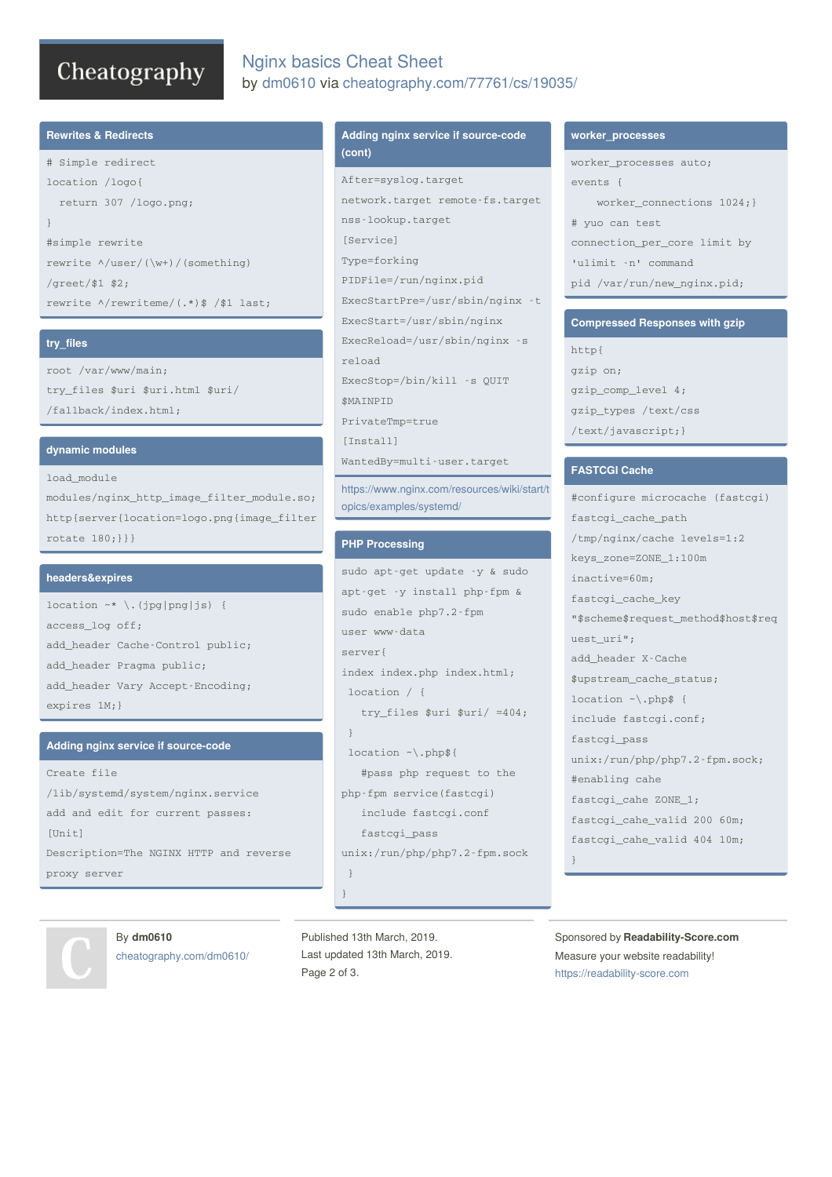# Cheatography

## Nginx basics Cheat Sheet by [dm0610](http://www.cheatography.com/dm0610/) via [cheatography.com/77761/cs/19035/](http://www.cheatography.com/dm0610/cheat-sheets/nginx-basics)

#### **Rewrites & Redirects**

# Simple redirect location /logo{ return 307 /logo.png; } #simple rewrite rewrite ^/user/(\w+)/(something) /greet/\$1 \$2; rewrite ^/rewriteme/(.\*)\$ /\$1 last;

### **try\_files**

root /var/www/main; try\_files \$uri \$uri.html \$uri/ /fallback/index.html;

#### **dynamic modules**

load\_module modules/nginx\_http\_image\_filter\_module.so; http{server{location=logo.png{image\_filter rotate 180;}}}

#### **headers&expires**

location  $~\sim~$  \.(jpg|png|js) { access\_log off; add\_header Cache-Control public; add\_header Pragma public; add\_header Vary Accept-Encoding; expires 1M;}

#### **Adding nginx service if source-code**

Create file /lib/systemd/system/nginx.service add and edit for current passes:  $[Uni+1]$ Description=The NGINX HTTP and reverse proxy server

#### **Adding nginx service if source-code (cont)**

After=syslog.target network.target remote-fs.target nss-lookup.target [Service] Type=forking PIDFile=/run/nginx.pid ExecStartPre=/usr/sbin/nginx -t ExecStart=/usr/sbin/nginx ExecReload=/usr/sbin/nginx -s reload ExecStop=/bin/kill -s QUIT \$MAINPID PrivateTmp=true [Install] WantedBy=multi-user.target

[https://www.nginx.com/resources/wiki/start/t](https://www.nginx.com/resources/wiki/start/topics/examples/systemd/) opics/examples/systemd/

#### **PHP Processing**

```
sudo apt-get update -y & sudo
apt-get -y install php-fpm &
sudo enable php7.2-fpm
user www-data
server{
index index.php index.html;
location / {
   try_files $uri $uri/ =404;
 }
 location ~\.php${
   #pass php request to the
php-fpm service(fastcgi)
   include fastcgi.conf
   fastcgi_pass
unix:/run/php/php7.2-fpm.sock
 }
}
```
#### **worker\_processes**

worker processes auto;  $\arctan t$   $\epsilon$   $\epsilon$ worker\_connections 1024;} # yuo can test connection\_per\_core limit by 'ulimit -n' command pid /var/run/new\_nginx.pid;

#### **Compressed Responses with gzip**

http{ gzip on; gzip\_comp\_level 4; gzip\_types /text/css /text/javascript;}

#### **FASTCGI Cache**

#configure microcache (fastcgi) fastcgi\_cache\_path /tmp/nginx/cache levels=1:2 keys\_zone=ZONE\_1:100m inactive=60m; fastcgi\_cache\_key "\$scheme\$request\_method\$host\$req uest\_uri"; add\_header X-Cache \$upstream\_cache\_status; location ~\.php\$ { include fastcgi.conf; fastcgi\_pass unix:/run/php/php7.2-fpm.sock; #enabling cahe fastcgi\_cahe ZONE\_1; fastcgi\_cahe\_valid 200 60m; fastcgi\_cahe\_valid 404 10m; }

By **dm0610** [cheatography.com/dm0610/](http://www.cheatography.com/dm0610/)

Published 13th March, 2019. Last updated 13th March, 2019. Page 2 of 3.

Sponsored by **Readability-Score.com** Measure your website readability! <https://readability-score.com>